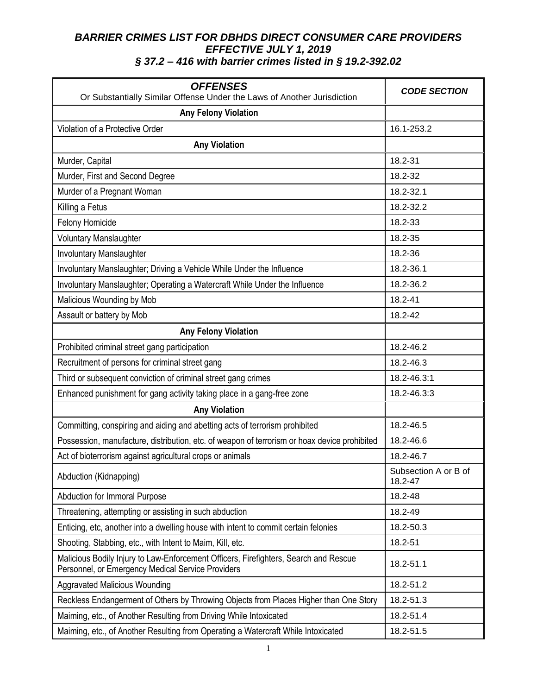## *BARRIER CRIMES LIST FOR DBHDS DIRECT CONSUMER CARE PROVIDERS EFFECTIVE JULY 1, 2019 § 37.2 – 416 with barrier crimes listed in § 19.2-392.02*

| <b>OFFENSES</b><br>Or Substantially Similar Offense Under the Laws of Another Jurisdiction                                                | <b>CODE SECTION</b>             |
|-------------------------------------------------------------------------------------------------------------------------------------------|---------------------------------|
| <b>Any Felony Violation</b>                                                                                                               |                                 |
| Violation of a Protective Order                                                                                                           | 16.1-253.2                      |
| <b>Any Violation</b>                                                                                                                      |                                 |
| Murder, Capital                                                                                                                           | 18.2-31                         |
| Murder, First and Second Degree                                                                                                           | 18.2-32                         |
| Murder of a Pregnant Woman                                                                                                                | 18.2-32.1                       |
| Killing a Fetus                                                                                                                           | 18.2-32.2                       |
| Felony Homicide                                                                                                                           | 18.2-33                         |
| Voluntary Manslaughter                                                                                                                    | 18.2-35                         |
| <b>Involuntary Manslaughter</b>                                                                                                           | 18.2-36                         |
| Involuntary Manslaughter; Driving a Vehicle While Under the Influence                                                                     | 18.2-36.1                       |
| Involuntary Manslaughter; Operating a Watercraft While Under the Influence                                                                | 18.2-36.2                       |
| Malicious Wounding by Mob                                                                                                                 | 18.2-41                         |
| Assault or battery by Mob                                                                                                                 | 18.2-42                         |
| <b>Any Felony Violation</b>                                                                                                               |                                 |
| Prohibited criminal street gang participation                                                                                             | 18.2-46.2                       |
| Recruitment of persons for criminal street gang                                                                                           | 18.2-46.3                       |
| Third or subsequent conviction of criminal street gang crimes                                                                             | 18.2-46.3:1                     |
| Enhanced punishment for gang activity taking place in a gang-free zone                                                                    | 18.2-46.3:3                     |
| <b>Any Violation</b>                                                                                                                      |                                 |
| Committing, conspiring and aiding and abetting acts of terrorism prohibited                                                               | 18.2-46.5                       |
| Possession, manufacture, distribution, etc. of weapon of terrorism or hoax device prohibited                                              | 18.2-46.6                       |
| Act of bioterrorism against agricultural crops or animals                                                                                 | 18.2-46.7                       |
| Abduction (Kidnapping)                                                                                                                    | Subsection A or B of<br>18.2-47 |
| Abduction for Immoral Purpose                                                                                                             | 18.2-48                         |
| Threatening, attempting or assisting in such abduction                                                                                    | 18.2-49                         |
| Enticing, etc, another into a dwelling house with intent to commit certain felonies                                                       | 18.2-50.3                       |
| Shooting, Stabbing, etc., with Intent to Maim, Kill, etc.                                                                                 | 18.2-51                         |
| Malicious Bodily Injury to Law-Enforcement Officers, Firefighters, Search and Rescue<br>Personnel, or Emergency Medical Service Providers | 18.2-51.1                       |
| <b>Aggravated Malicious Wounding</b>                                                                                                      | 18.2-51.2                       |
| Reckless Endangerment of Others by Throwing Objects from Places Higher than One Story                                                     | 18.2-51.3                       |
| Maiming, etc., of Another Resulting from Driving While Intoxicated                                                                        | 18.2-51.4                       |
| Maiming, etc., of Another Resulting from Operating a Watercraft While Intoxicated                                                         | 18.2-51.5                       |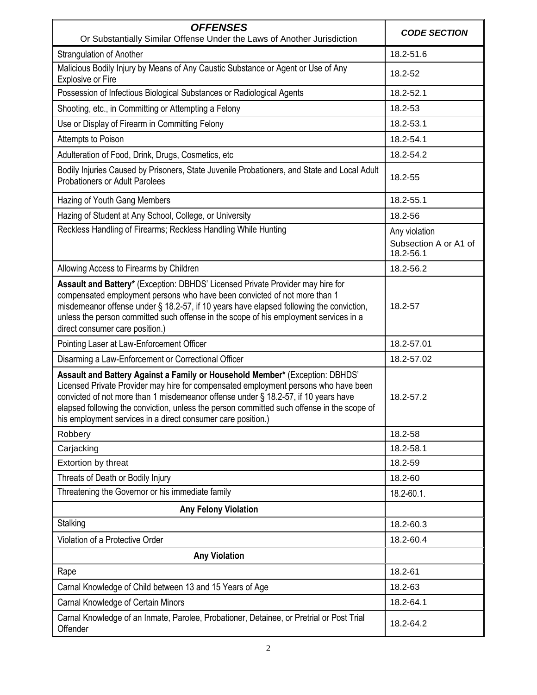| <b>OFFENSES</b><br>Or Substantially Similar Offense Under the Laws of Another Jurisdiction                                                                                                                                                                                                                                                                                                                              | <b>CODE SECTION</b>                                 |
|-------------------------------------------------------------------------------------------------------------------------------------------------------------------------------------------------------------------------------------------------------------------------------------------------------------------------------------------------------------------------------------------------------------------------|-----------------------------------------------------|
| <b>Strangulation of Another</b>                                                                                                                                                                                                                                                                                                                                                                                         | 18.2-51.6                                           |
| Malicious Bodily Injury by Means of Any Caustic Substance or Agent or Use of Any<br><b>Explosive or Fire</b>                                                                                                                                                                                                                                                                                                            | 18.2-52                                             |
| Possession of Infectious Biological Substances or Radiological Agents                                                                                                                                                                                                                                                                                                                                                   | 18.2-52.1                                           |
| Shooting, etc., in Committing or Attempting a Felony                                                                                                                                                                                                                                                                                                                                                                    | 18.2-53                                             |
| Use or Display of Firearm in Committing Felony                                                                                                                                                                                                                                                                                                                                                                          | 18.2-53.1                                           |
| Attempts to Poison                                                                                                                                                                                                                                                                                                                                                                                                      | 18.2-54.1                                           |
| Adulteration of Food, Drink, Drugs, Cosmetics, etc                                                                                                                                                                                                                                                                                                                                                                      | 18.2-54.2                                           |
| Bodily Injuries Caused by Prisoners, State Juvenile Probationers, and State and Local Adult<br><b>Probationers or Adult Parolees</b>                                                                                                                                                                                                                                                                                    | 18.2-55                                             |
| Hazing of Youth Gang Members                                                                                                                                                                                                                                                                                                                                                                                            | 18.2-55.1                                           |
| Hazing of Student at Any School, College, or University                                                                                                                                                                                                                                                                                                                                                                 | 18.2-56                                             |
| Reckless Handling of Firearms; Reckless Handling While Hunting                                                                                                                                                                                                                                                                                                                                                          | Any violation<br>Subsection A or A1 of<br>18.2-56.1 |
| Allowing Access to Firearms by Children                                                                                                                                                                                                                                                                                                                                                                                 | 18.2-56.2                                           |
| Assault and Battery* (Exception: DBHDS' Licensed Private Provider may hire for<br>compensated employment persons who have been convicted of not more than 1<br>misdemeanor offense under § 18.2-57, if 10 years have elapsed following the conviction,<br>unless the person committed such offense in the scope of his employment services in a<br>direct consumer care position.)                                      | 18.2-57                                             |
| Pointing Laser at Law-Enforcement Officer                                                                                                                                                                                                                                                                                                                                                                               | 18.2-57.01                                          |
| Disarming a Law-Enforcement or Correctional Officer                                                                                                                                                                                                                                                                                                                                                                     | 18.2-57.02                                          |
| Assault and Battery Against a Family or Household Member* (Exception: DBHDS'<br>Licensed Private Provider may hire for compensated employment persons who have been<br>convicted of not more than 1 misdemeanor offense under § 18.2-57, if 10 years have<br>elapsed following the conviction, unless the person committed such offense in the scope of<br>his employment services in a direct consumer care position.) | 18.2-57.2                                           |
| Robbery                                                                                                                                                                                                                                                                                                                                                                                                                 | 18.2-58                                             |
| Carjacking                                                                                                                                                                                                                                                                                                                                                                                                              | 18.2-58.1                                           |
| Extortion by threat                                                                                                                                                                                                                                                                                                                                                                                                     | 18.2-59                                             |
| Threats of Death or Bodily Injury                                                                                                                                                                                                                                                                                                                                                                                       | 18.2-60                                             |
| Threatening the Governor or his immediate family                                                                                                                                                                                                                                                                                                                                                                        | 18.2-60.1.                                          |
| <b>Any Felony Violation</b>                                                                                                                                                                                                                                                                                                                                                                                             |                                                     |
| Stalking                                                                                                                                                                                                                                                                                                                                                                                                                | 18.2-60.3                                           |
| Violation of a Protective Order                                                                                                                                                                                                                                                                                                                                                                                         | 18.2-60.4                                           |
| <b>Any Violation</b>                                                                                                                                                                                                                                                                                                                                                                                                    |                                                     |
| Rape                                                                                                                                                                                                                                                                                                                                                                                                                    | 18.2-61                                             |
| Carnal Knowledge of Child between 13 and 15 Years of Age                                                                                                                                                                                                                                                                                                                                                                | 18.2-63                                             |
| Carnal Knowledge of Certain Minors                                                                                                                                                                                                                                                                                                                                                                                      | 18.2-64.1                                           |
| Carnal Knowledge of an Inmate, Parolee, Probationer, Detainee, or Pretrial or Post Trial<br>Offender                                                                                                                                                                                                                                                                                                                    | 18.2-64.2                                           |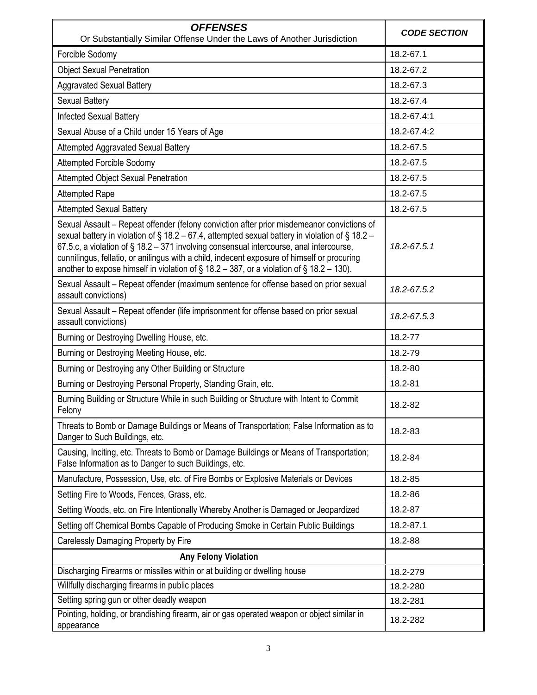| <b>OFFENSES</b><br>Or Substantially Similar Offense Under the Laws of Another Jurisdiction                                                                                                                                                                                                                                                                                                                                                                                                | <b>CODE SECTION</b> |
|-------------------------------------------------------------------------------------------------------------------------------------------------------------------------------------------------------------------------------------------------------------------------------------------------------------------------------------------------------------------------------------------------------------------------------------------------------------------------------------------|---------------------|
| Forcible Sodomy                                                                                                                                                                                                                                                                                                                                                                                                                                                                           | 18.2-67.1           |
| <b>Object Sexual Penetration</b>                                                                                                                                                                                                                                                                                                                                                                                                                                                          | 18.2-67.2           |
| <b>Aggravated Sexual Battery</b>                                                                                                                                                                                                                                                                                                                                                                                                                                                          | 18.2-67.3           |
| Sexual Battery                                                                                                                                                                                                                                                                                                                                                                                                                                                                            | 18.2-67.4           |
| Infected Sexual Battery                                                                                                                                                                                                                                                                                                                                                                                                                                                                   | 18.2-67.4:1         |
| Sexual Abuse of a Child under 15 Years of Age                                                                                                                                                                                                                                                                                                                                                                                                                                             | 18.2-67.4:2         |
| <b>Attempted Aggravated Sexual Battery</b>                                                                                                                                                                                                                                                                                                                                                                                                                                                | 18.2-67.5           |
| <b>Attempted Forcible Sodomy</b>                                                                                                                                                                                                                                                                                                                                                                                                                                                          | 18.2-67.5           |
| Attempted Object Sexual Penetration                                                                                                                                                                                                                                                                                                                                                                                                                                                       | 18.2-67.5           |
| <b>Attempted Rape</b>                                                                                                                                                                                                                                                                                                                                                                                                                                                                     | 18.2-67.5           |
| <b>Attempted Sexual Battery</b>                                                                                                                                                                                                                                                                                                                                                                                                                                                           | 18.2-67.5           |
| Sexual Assault - Repeat offender (felony conviction after prior misdemeanor convictions of<br>sexual battery in violation of § 18.2 – 67.4, attempted sexual battery in violation of § 18.2 –<br>67.5.c, a violation of § 18.2 – 371 involving consensual intercourse, anal intercourse,<br>cunnilingus, fellatio, or anilingus with a child, indecent exposure of himself or procuring<br>another to expose himself in violation of $\S$ 18.2 – 387, or a violation of $\S$ 18.2 – 130). | 18.2-67.5.1         |
| Sexual Assault - Repeat offender (maximum sentence for offense based on prior sexual<br>assault convictions)                                                                                                                                                                                                                                                                                                                                                                              | 18.2-67.5.2         |
| Sexual Assault - Repeat offender (life imprisonment for offense based on prior sexual<br>assault convictions)                                                                                                                                                                                                                                                                                                                                                                             | 18.2-67.5.3         |
| Burning or Destroying Dwelling House, etc.                                                                                                                                                                                                                                                                                                                                                                                                                                                | 18.2-77             |
| Burning or Destroying Meeting House, etc.                                                                                                                                                                                                                                                                                                                                                                                                                                                 | 18.2-79             |
| Burning or Destroying any Other Building or Structure                                                                                                                                                                                                                                                                                                                                                                                                                                     | 18.2-80             |
| Burning or Destroying Personal Property, Standing Grain, etc.                                                                                                                                                                                                                                                                                                                                                                                                                             | 18.2-81             |
| Burning Building or Structure While in such Building or Structure with Intent to Commit<br>Felony                                                                                                                                                                                                                                                                                                                                                                                         | 18.2-82             |
| Threats to Bomb or Damage Buildings or Means of Transportation; False Information as to<br>Danger to Such Buildings, etc.                                                                                                                                                                                                                                                                                                                                                                 | 18.2-83             |
| Causing, Inciting, etc. Threats to Bomb or Damage Buildings or Means of Transportation;<br>False Information as to Danger to such Buildings, etc.                                                                                                                                                                                                                                                                                                                                         | 18.2-84             |
| Manufacture, Possession, Use, etc. of Fire Bombs or Explosive Materials or Devices                                                                                                                                                                                                                                                                                                                                                                                                        | 18.2-85             |
| Setting Fire to Woods, Fences, Grass, etc.                                                                                                                                                                                                                                                                                                                                                                                                                                                | 18.2-86             |
| Setting Woods, etc. on Fire Intentionally Whereby Another is Damaged or Jeopardized                                                                                                                                                                                                                                                                                                                                                                                                       | 18.2-87             |
| Setting off Chemical Bombs Capable of Producing Smoke in Certain Public Buildings                                                                                                                                                                                                                                                                                                                                                                                                         | 18.2-87.1           |
| Carelessly Damaging Property by Fire                                                                                                                                                                                                                                                                                                                                                                                                                                                      | 18.2-88             |
| <b>Any Felony Violation</b>                                                                                                                                                                                                                                                                                                                                                                                                                                                               |                     |
| Discharging Firearms or missiles within or at building or dwelling house                                                                                                                                                                                                                                                                                                                                                                                                                  | 18.2-279            |
| Willfully discharging firearms in public places                                                                                                                                                                                                                                                                                                                                                                                                                                           | 18.2-280            |
| Setting spring gun or other deadly weapon                                                                                                                                                                                                                                                                                                                                                                                                                                                 | 18.2-281            |
| Pointing, holding, or brandishing firearm, air or gas operated weapon or object similar in<br>appearance                                                                                                                                                                                                                                                                                                                                                                                  | 18.2-282            |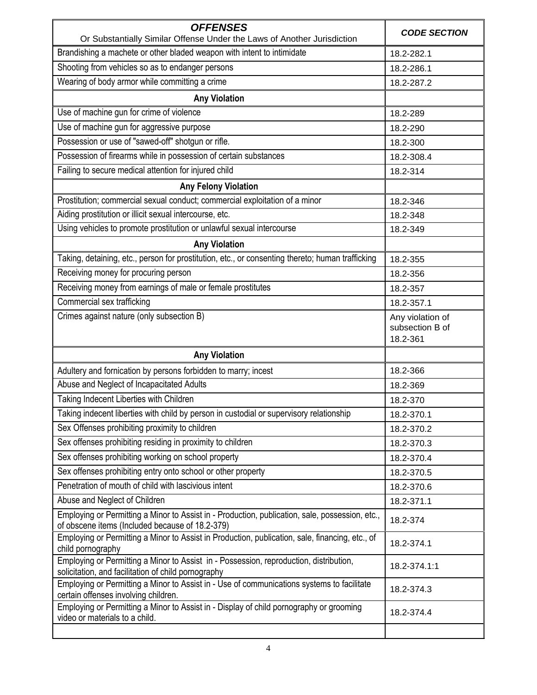| <b>OFFENSES</b><br>Or Substantially Similar Offense Under the Laws of Another Jurisdiction                                                         | <b>CODE SECTION</b>         |
|----------------------------------------------------------------------------------------------------------------------------------------------------|-----------------------------|
| Brandishing a machete or other bladed weapon with intent to intimidate                                                                             | 18.2-282.1                  |
| Shooting from vehicles so as to endanger persons                                                                                                   | 18.2-286.1                  |
| Wearing of body armor while committing a crime                                                                                                     | 18.2-287.2                  |
| <b>Any Violation</b>                                                                                                                               |                             |
| Use of machine gun for crime of violence                                                                                                           | 18.2-289                    |
| Use of machine gun for aggressive purpose                                                                                                          | 18.2-290                    |
| Possession or use of "sawed-off" shotgun or rifle.                                                                                                 | 18.2-300                    |
| Possession of firearms while in possession of certain substances                                                                                   | 18.2-308.4                  |
| Failing to secure medical attention for injured child                                                                                              | 18.2-314                    |
| <b>Any Felony Violation</b>                                                                                                                        |                             |
| Prostitution; commercial sexual conduct; commercial exploitation of a minor                                                                        | 18.2-346                    |
| Aiding prostitution or illicit sexual intercourse, etc.                                                                                            | 18.2-348                    |
| Using vehicles to promote prostitution or unlawful sexual intercourse                                                                              | 18.2-349                    |
| <b>Any Violation</b>                                                                                                                               |                             |
| Taking, detaining, etc., person for prostitution, etc., or consenting thereto; human trafficking                                                   | 18.2-355                    |
| Receiving money for procuring person                                                                                                               | 18.2-356                    |
| Receiving money from earnings of male or female prostitutes                                                                                        | 18.2-357                    |
| Commercial sex trafficking                                                                                                                         | 18.2-357.1                  |
| Crimes against nature (only subsection B)                                                                                                          | Any violation of            |
|                                                                                                                                                    | subsection B of<br>18.2-361 |
| <b>Any Violation</b>                                                                                                                               |                             |
| Adultery and fornication by persons forbidden to marry; incest                                                                                     | 18.2-366                    |
| Abuse and Neglect of Incapacitated Adults                                                                                                          | 18.2-369                    |
| Taking Indecent Liberties with Children                                                                                                            | 18.2-370                    |
| Taking indecent liberties with child by person in custodial or supervisory relationship                                                            | 18.2-370.1                  |
| Sex Offenses prohibiting proximity to children                                                                                                     | 18.2-370.2                  |
| Sex offenses prohibiting residing in proximity to children                                                                                         | 18.2-370.3                  |
| Sex offenses prohibiting working on school property                                                                                                | 18.2-370.4                  |
| Sex offenses prohibiting entry onto school or other property                                                                                       | 18.2-370.5                  |
| Penetration of mouth of child with lascivious intent                                                                                               | 18.2-370.6                  |
| Abuse and Neglect of Children                                                                                                                      | 18.2-371.1                  |
| Employing or Permitting a Minor to Assist in - Production, publication, sale, possession, etc.,<br>of obscene items (Included because of 18.2-379) | 18.2-374                    |
| Employing or Permitting a Minor to Assist in Production, publication, sale, financing, etc., of<br>child pornography                               | 18.2-374.1                  |
| Employing or Permitting a Minor to Assist in - Possession, reproduction, distribution,<br>solicitation, and facilitation of child pornography      | 18.2-374.1:1                |
| Employing or Permitting a Minor to Assist in - Use of communications systems to facilitate<br>certain offenses involving children.                 | 18.2-374.3                  |
| Employing or Permitting a Minor to Assist in - Display of child pornography or grooming<br>video or materials to a child.                          | 18.2-374.4                  |
|                                                                                                                                                    |                             |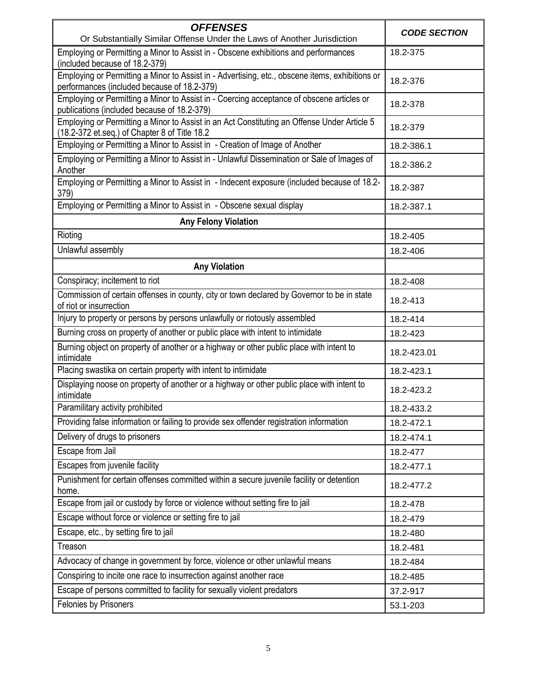| <b>OFFENSES</b><br>Or Substantially Similar Offense Under the Laws of Another Jurisdiction                                                     | <b>CODE SECTION</b> |
|------------------------------------------------------------------------------------------------------------------------------------------------|---------------------|
| Employing or Permitting a Minor to Assist in - Obscene exhibitions and performances<br>(included because of 18.2-379)                          | 18.2-375            |
| Employing or Permitting a Minor to Assist in - Advertising, etc., obscene items, exhibitions or<br>performances (included because of 18.2-379) | 18.2-376            |
| Employing or Permitting a Minor to Assist in - Coercing acceptance of obscene articles or<br>publications (included because of 18.2-379)       | 18.2-378            |
| Employing or Permitting a Minor to Assist in an Act Constituting an Offense Under Article 5<br>(18.2-372 et.seq.) of Chapter 8 of Title 18.2   | 18.2-379            |
| Employing or Permitting a Minor to Assist in - Creation of Image of Another                                                                    | 18.2-386.1          |
| Employing or Permitting a Minor to Assist in - Unlawful Dissemination or Sale of Images of<br>Another                                          | 18.2-386.2          |
| Employing or Permitting a Minor to Assist in - Indecent exposure (included because of 18.2-<br>379)                                            | 18.2-387            |
| Employing or Permitting a Minor to Assist in - Obscene sexual display                                                                          | 18.2-387.1          |
| <b>Any Felony Violation</b>                                                                                                                    |                     |
| Rioting                                                                                                                                        | 18.2-405            |
| Unlawful assembly                                                                                                                              | 18.2-406            |
| <b>Any Violation</b>                                                                                                                           |                     |
| Conspiracy; incitement to riot                                                                                                                 | 18.2-408            |
| Commission of certain offenses in county, city or town declared by Governor to be in state<br>of riot or insurrection                          | 18.2-413            |
| Injury to property or persons by persons unlawfully or riotously assembled                                                                     | 18.2-414            |
| Burning cross on property of another or public place with intent to intimidate                                                                 | 18.2-423            |
| Burning object on property of another or a highway or other public place with intent to<br>intimidate                                          | 18.2-423.01         |
| Placing swastika on certain property with intent to intimidate                                                                                 | 18.2-423.1          |
| Displaying noose on property of another or a highway or other public place with intent to<br>intimidate                                        | 18.2-423.2          |
| Paramilitary activity prohibited                                                                                                               | 18.2-433.2          |
| Providing false information or failing to provide sex offender registration information                                                        | 18.2-472.1          |
| Delivery of drugs to prisoners                                                                                                                 | 18.2-474.1          |
| Escape from Jail                                                                                                                               | 18.2-477            |
| Escapes from juvenile facility                                                                                                                 | 18.2-477.1          |
| Punishment for certain offenses committed within a secure juvenile facility or detention<br>home.                                              | 18.2-477.2          |
| Escape from jail or custody by force or violence without setting fire to jail                                                                  | 18.2-478            |
| Escape without force or violence or setting fire to jail                                                                                       | 18.2-479            |
| Escape, etc., by setting fire to jail                                                                                                          | 18.2-480            |
| Treason                                                                                                                                        | 18.2-481            |
| Advocacy of change in government by force, violence or other unlawful means                                                                    | 18.2-484            |
| Conspiring to incite one race to insurrection against another race                                                                             | 18.2-485            |
| Escape of persons committed to facility for sexually violent predators                                                                         | 37.2-917            |
| Felonies by Prisoners                                                                                                                          | 53.1-203            |